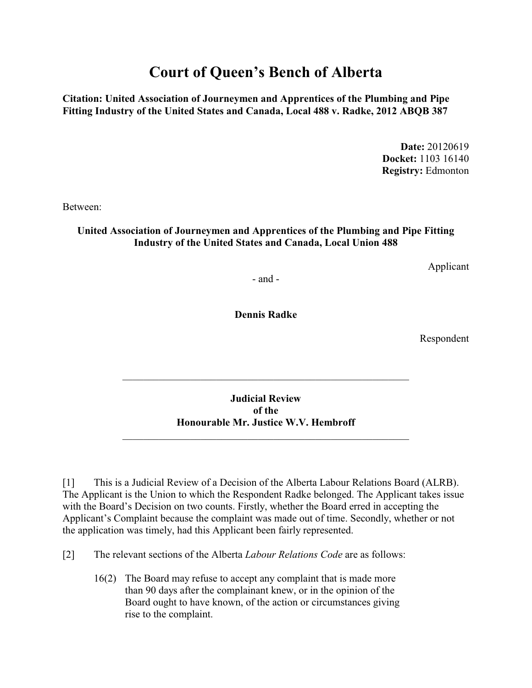# **Court of Queen's Bench of Alberta**

**Citation: United Association of Journeymen and Apprentices of the Plumbing and Pipe Fitting Industry of the United States and Canada, Local 488 v. Radke, 2012 ABQB 387** 

> **Date:** 20120619 **Docket:** 1103 16140 **Registry:** Edmonton

Between:

### **United Association of Journeymen and Apprentices of the Plumbing and Pipe Fitting Industry of the United States and Canada, Local Union 488**

Applicant

- and -

**Dennis Radke**

Respondent

## **Judicial Review of the Honourable Mr. Justice W.V. Hembroff**

\_\_\_\_\_\_\_\_\_\_\_\_\_\_\_\_\_\_\_\_\_\_\_\_\_\_\_\_\_\_\_\_\_\_\_\_\_\_\_\_\_\_\_\_\_\_\_\_\_\_\_\_\_\_\_

\_\_\_\_\_\_\_\_\_\_\_\_\_\_\_\_\_\_\_\_\_\_\_\_\_\_\_\_\_\_\_\_\_\_\_\_\_\_\_\_\_\_\_\_\_\_\_\_\_\_\_\_\_\_\_

[1] This is a Judicial Review of a Decision of the Alberta Labour Relations Board (ALRB). The Applicant is the Union to which the Respondent Radke belonged. The Applicant takes issue with the Board's Decision on two counts. Firstly, whether the Board erred in accepting the Applicant's Complaint because the complaint was made out of time. Secondly, whether or not the application was timely, had this Applicant been fairly represented.

[2] The relevant sections of the Alberta *Labour Relations Code* are as follows:

16(2) The Board may refuse to accept any complaint that is made more than 90 days after the complainant knew, or in the opinion of the Board ought to have known, of the action or circumstances giving rise to the complaint.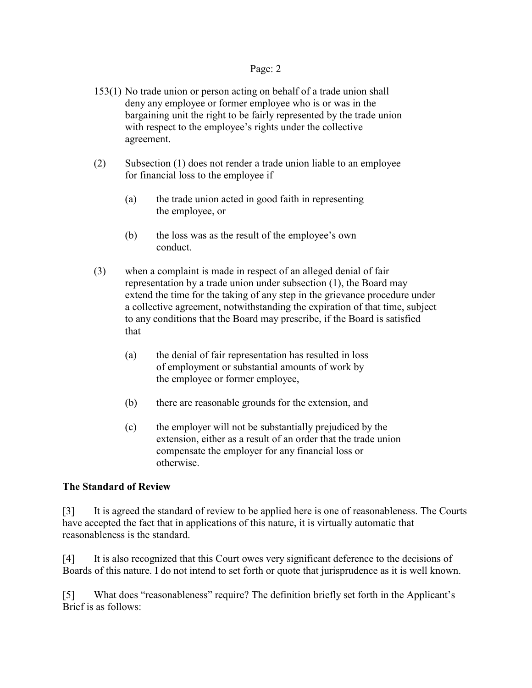- 153(1) No trade union or person acting on behalf of a trade union shall deny any employee or former employee who is or was in the bargaining unit the right to be fairly represented by the trade union with respect to the employee's rights under the collective agreement.
- (2) Subsection (1) does not render a trade union liable to an employee for financial loss to the employee if
	- (a) the trade union acted in good faith in representing the employee, or
	- (b) the loss was as the result of the employee's own conduct.
- (3) when a complaint is made in respect of an alleged denial of fair representation by a trade union under subsection (1), the Board may extend the time for the taking of any step in the grievance procedure under a collective agreement, notwithstanding the expiration of that time, subject to any conditions that the Board may prescribe, if the Board is satisfied that
	- (a) the denial of fair representation has resulted in loss of employment or substantial amounts of work by the employee or former employee,
	- (b) there are reasonable grounds for the extension, and
	- (c) the employer will not be substantially prejudiced by the extension, either as a result of an order that the trade union compensate the employer for any financial loss or otherwise.

#### **The Standard of Review**

[3] It is agreed the standard of review to be applied here is one of reasonableness. The Courts have accepted the fact that in applications of this nature, it is virtually automatic that reasonableness is the standard.

[4] It is also recognized that this Court owes very significant deference to the decisions of Boards of this nature. I do not intend to set forth or quote that jurisprudence as it is well known.

[5] What does "reasonableness" require? The definition briefly set forth in the Applicant's Brief is as follows: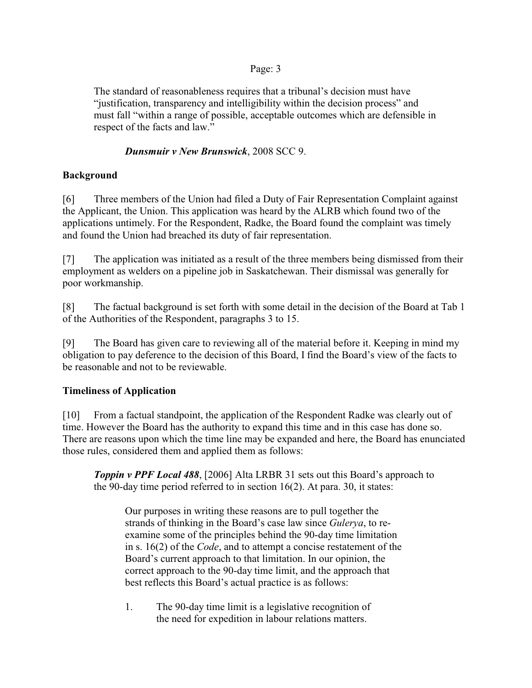The standard of reasonableness requires that a tribunal's decision must have "justification, transparency and intelligibility within the decision process" and must fall "within a range of possible, acceptable outcomes which are defensible in respect of the facts and law."

## *Dunsmuir v New Brunswick*, 2008 SCC 9.

# **Background**

[6] Three members of the Union had filed a Duty of Fair Representation Complaint against the Applicant, the Union. This application was heard by the ALRB which found two of the applications untimely. For the Respondent, Radke, the Board found the complaint was timely and found the Union had breached its duty of fair representation.

[7] The application was initiated as a result of the three members being dismissed from their employment as welders on a pipeline job in Saskatchewan. Their dismissal was generally for poor workmanship.

[8] The factual background is set forth with some detail in the decision of the Board at Tab 1 of the Authorities of the Respondent, paragraphs 3 to 15.

[9] The Board has given care to reviewing all of the material before it. Keeping in mind my obligation to pay deference to the decision of this Board, I find the Board's view of the facts to be reasonable and not to be reviewable.

# **Timeliness of Application**

[10] From a factual standpoint, the application of the Respondent Radke was clearly out of time. However the Board has the authority to expand this time and in this case has done so. There are reasons upon which the time line may be expanded and here, the Board has enunciated those rules, considered them and applied them as follows:

*Toppin v PPF Local 488*, [2006] Alta LRBR 31 sets out this Board's approach to the 90-day time period referred to in section 16(2). At para. 30, it states:

Our purposes in writing these reasons are to pull together the strands of thinking in the Board's case law since *Gulerya*, to reexamine some of the principles behind the 90-day time limitation in s. 16(2) of the *Code*, and to attempt a concise restatement of the Board's current approach to that limitation. In our opinion, the correct approach to the 90-day time limit, and the approach that best reflects this Board's actual practice is as follows:

1. The 90-day time limit is a legislative recognition of the need for expedition in labour relations matters.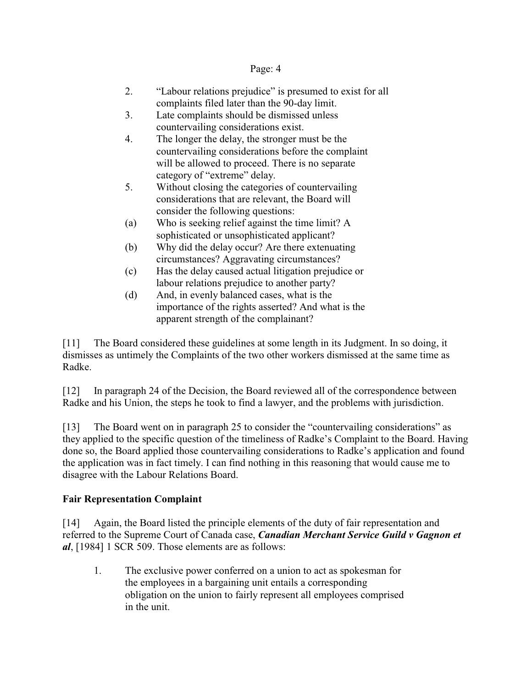- 2. "Labour relations prejudice" is presumed to exist for all complaints filed later than the 90-day limit.
- 3. Late complaints should be dismissed unless countervailing considerations exist.
- 4. The longer the delay, the stronger must be the countervailing considerations before the complaint will be allowed to proceed. There is no separate category of "extreme" delay.
- 5. Without closing the categories of countervailing considerations that are relevant, the Board will consider the following questions:
- (a) Who is seeking relief against the time limit? A sophisticated or unsophisticated applicant?
- (b) Why did the delay occur? Are there extenuating circumstances? Aggravating circumstances?
- (c) Has the delay caused actual litigation prejudice or labour relations prejudice to another party?
- (d) And, in evenly balanced cases, what is the importance of the rights asserted? And what is the apparent strength of the complainant?

[11] The Board considered these guidelines at some length in its Judgment. In so doing, it dismisses as untimely the Complaints of the two other workers dismissed at the same time as Radke.

[12] In paragraph 24 of the Decision, the Board reviewed all of the correspondence between Radke and his Union, the steps he took to find a lawyer, and the problems with jurisdiction.

[13] The Board went on in paragraph 25 to consider the "countervailing considerations" as they applied to the specific question of the timeliness of Radke's Complaint to the Board. Having done so, the Board applied those countervailing considerations to Radke's application and found the application was in fact timely. I can find nothing in this reasoning that would cause me to disagree with the Labour Relations Board.

# **Fair Representation Complaint**

[14] Again, the Board listed the principle elements of the duty of fair representation and referred to the Supreme Court of Canada case, *Canadian Merchant Service Guild v Gagnon et al*, [1984] 1 SCR 509. Those elements are as follows:

1. The exclusive power conferred on a union to act as spokesman for the employees in a bargaining unit entails a corresponding obligation on the union to fairly represent all employees comprised in the unit.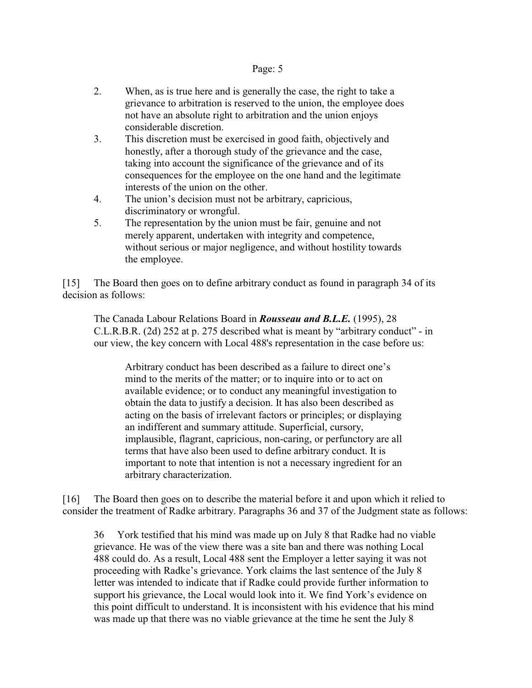- 2. When, as is true here and is generally the case, the right to take a grievance to arbitration is reserved to the union, the employee does not have an absolute right to arbitration and the union enjoys considerable discretion.
- 3. This discretion must be exercised in good faith, objectively and honestly, after a thorough study of the grievance and the case, taking into account the significance of the grievance and of its consequences for the employee on the one hand and the legitimate interests of the union on the other.
- 4. The union's decision must not be arbitrary, capricious, discriminatory or wrongful.
- 5. The representation by the union must be fair, genuine and not merely apparent, undertaken with integrity and competence, without serious or major negligence, and without hostility towards the employee.

[15] The Board then goes on to define arbitrary conduct as found in paragraph 34 of its decision as follows:

The Canada Labour Relations Board in *Rousseau and B.L.E.* (1995), 28 C.L.R.B.R. (2d) 252 at p. 275 described what is meant by "arbitrary conduct" - in our view, the key concern with Local 488's representation in the case before us:

Arbitrary conduct has been described as a failure to direct one's mind to the merits of the matter; or to inquire into or to act on available evidence; or to conduct any meaningful investigation to obtain the data to justify a decision. It has also been described as acting on the basis of irrelevant factors or principles; or displaying an indifferent and summary attitude. Superficial, cursory, implausible, flagrant, capricious, non-caring, or perfunctory are all terms that have also been used to define arbitrary conduct. It is important to note that intention is not a necessary ingredient for an arbitrary characterization.

[16] The Board then goes on to describe the material before it and upon which it relied to consider the treatment of Radke arbitrary. Paragraphs 36 and 37 of the Judgment state as follows:

36 York testified that his mind was made up on July 8 that Radke had no viable grievance. He was of the view there was a site ban and there was nothing Local 488 could do. As a result, Local 488 sent the Employer a letter saying it was not proceeding with Radke's grievance. York claims the last sentence of the July 8 letter was intended to indicate that if Radke could provide further information to support his grievance, the Local would look into it. We find York's evidence on this point difficult to understand. It is inconsistent with his evidence that his mind was made up that there was no viable grievance at the time he sent the July 8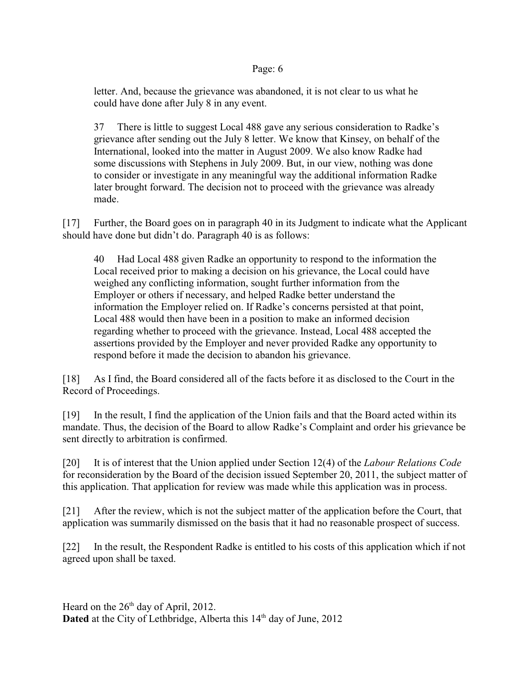letter. And, because the grievance was abandoned, it is not clear to us what he could have done after July 8 in any event.

37 There is little to suggest Local 488 gave any serious consideration to Radke's grievance after sending out the July 8 letter. We know that Kinsey, on behalf of the International, looked into the matter in August 2009. We also know Radke had some discussions with Stephens in July 2009. But, in our view, nothing was done to consider or investigate in any meaningful way the additional information Radke later brought forward. The decision not to proceed with the grievance was already made.

[17] Further, the Board goes on in paragraph 40 in its Judgment to indicate what the Applicant should have done but didn't do. Paragraph 40 is as follows:

40 Had Local 488 given Radke an opportunity to respond to the information the Local received prior to making a decision on his grievance, the Local could have weighed any conflicting information, sought further information from the Employer or others if necessary, and helped Radke better understand the information the Employer relied on. If Radke's concerns persisted at that point, Local 488 would then have been in a position to make an informed decision regarding whether to proceed with the grievance. Instead, Local 488 accepted the assertions provided by the Employer and never provided Radke any opportunity to respond before it made the decision to abandon his grievance.

[18] As I find, the Board considered all of the facts before it as disclosed to the Court in the Record of Proceedings.

[19] In the result, I find the application of the Union fails and that the Board acted within its mandate. Thus, the decision of the Board to allow Radke's Complaint and order his grievance be sent directly to arbitration is confirmed.

[20] It is of interest that the Union applied under Section 12(4) of the *Labour Relations Code* for reconsideration by the Board of the decision issued September 20, 2011, the subject matter of this application. That application for review was made while this application was in process.

[21] After the review, which is not the subject matter of the application before the Court, that application was summarily dismissed on the basis that it had no reasonable prospect of success.

[22] In the result, the Respondent Radke is entitled to his costs of this application which if not agreed upon shall be taxed.

Heard on the  $26<sup>th</sup>$  day of April, 2012. **Dated** at the City of Lethbridge, Alberta this 14<sup>th</sup> day of June, 2012